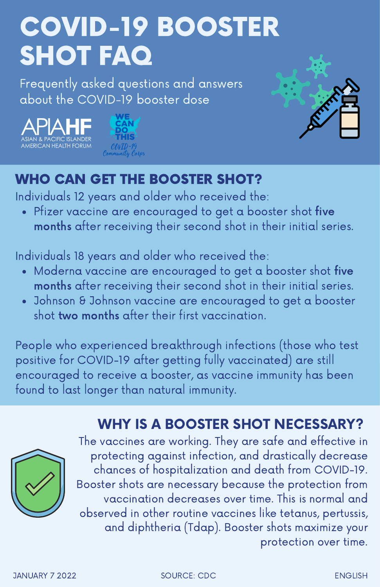# COVID-19 BOOSTER SHOT FAQ

Frequently asked questions and answers about the COVID-19 booster dose







# WHO CAN GET THE BOOSTER SHOT?

Individuals 12 years and older who received the:

Pfizer vaccine are encouraged to get a booster shot five months after receiving their second shot in their initial series.

Individuals 18 years and older who received the:

- Moderna vaccine are encouraged to get a booster shot five months after receiving their second shot in their initial series.
- Johnson & Johnson vaccine are encouraged to get a booster shot two months after their first vaccination.

People who experienced breakthrough infections (those who test positive for COVID-19 after getting fully vaccinated) are still encouraged to receive a booster, as vaccine immunity has been found to last longer than natural immunity.

# WHY IS A BOOSTER SHOT NECESSARY?



The vaccines are working. They are safe and effective in protecting against infection, and drastically decrease chances of hospitalization and death from COVID-19. Booster shots are necessary because the protection from vaccination decreases over time. This is normal and observed in other routine vaccines like tetanus, pertussis, and diphtheria (Tdap). Booster shots maximize your protection over time.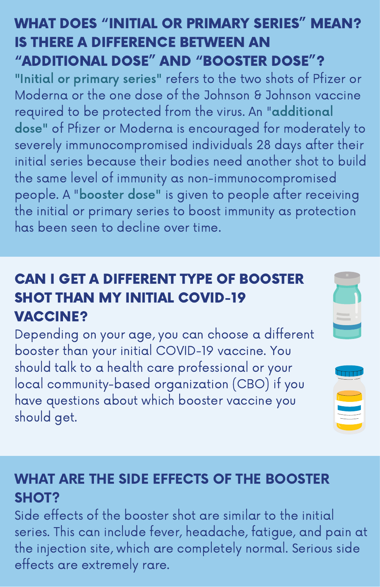#### WHAT DOES "INITIAL OR PRIMARY SERIES" MEAN? IS THERE A DIFFERENCE BETWEEN AN "ADDITIONAL DOSE" AND "BOOSTER DOSE"?

"Initial or primary series" refers to the two shots of Pfizer or Moderna or the one dose of the Johnson & Johnson vaccine required to be protected from the virus. An "additional dose" of Pfizer or Moderna is encouraged for moderately to severely immunocompromised individuals 28 days after their initial series because their bodies need another shot to build the same level of immunity as non-immunocompromised people. A "booster dose" is given to people after receiving the initial or primary series to boost immunity as protection has been seen to decline over time.

## CAN I GET A DIFFERENT TYPE OF BOOSTER SHOT THAN MY INITIAL COVID-19 VACCINE?

Depending on your age, you can choose a different booster than your initial COVID-19 vaccine. You should talk to a health care professional or your local community-based organization (CBO) if you have questions about which booster vaccine you should get.





## WHAT ARE THE SIDE EFFECTS OF THE BOOSTER SHOT?

Side effects of the booster shot are similar to the initial series. This can include fever, headache, fatigue, and pain at the injection site, which are completely normal. Serious side effects are extremely rare.